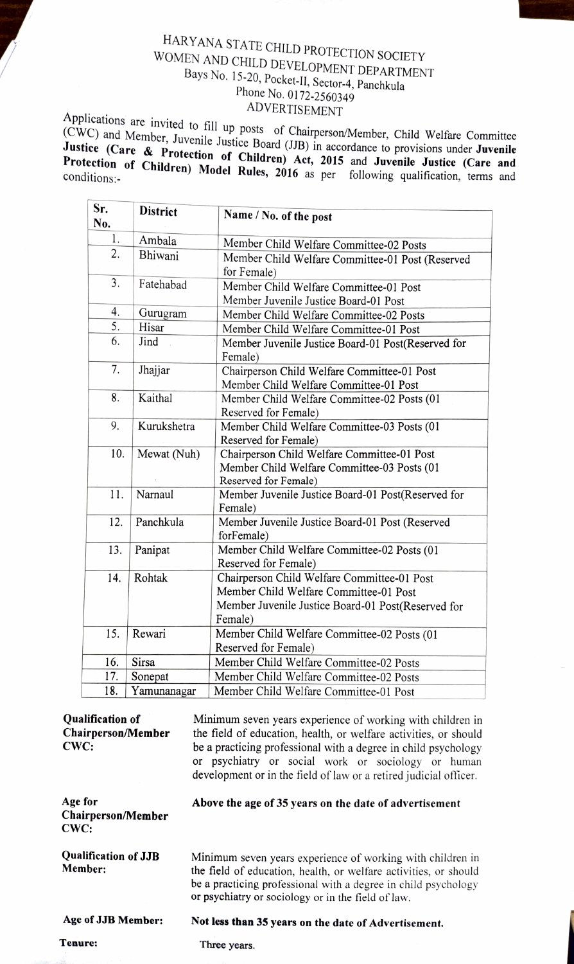## HARYANA STATE CHILD PROTECTION SOCIETY<br>WOMEN AND CHILD DEVELOPMENT DEPARTMENT Bays No. 15-20, Pocket-II, Sector-4, Panchkula<br>Phone No. 0172-2560349<br>ADVERTISEMENT

Applications are invited to fill up posts of Chairperson/Member, Child Welfare Committee (CWC) and Member, Juvenile Justice Board (JJB) in accordance to provisions under **Juvenile**<br>**Justice (Care & Protection of Children)** 

| Sr.<br>No. | <b>District</b> | Name / No. of the post                                                                                                                                 |
|------------|-----------------|--------------------------------------------------------------------------------------------------------------------------------------------------------|
| 1.         | Ambala          | Member Child Welfare Committee-02 Posts                                                                                                                |
| 2.         | Bhiwani         | Member Child Welfare Committee-01 Post (Reserved<br>for Female)                                                                                        |
| 3.         | Fatehabad       | Member Child Welfare Committee-01 Post<br>Member Juvenile Justice Board-01 Post                                                                        |
| 4.         | Gurugram        | Member Child Welfare Committee-02 Posts                                                                                                                |
| 5.         | Hisar           | Member Child Welfare Committee-01 Post                                                                                                                 |
| 6.         | Jind            | Member Juvenile Justice Board-01 Post(Reserved for<br>Female)                                                                                          |
| 7.         | Jhajjar         | Chairperson Child Welfare Committee-01 Post<br>Member Child Welfare Committee-01 Post                                                                  |
| 8.         | Kaithal         | Member Child Welfare Committee-02 Posts (01<br>Reserved for Female)                                                                                    |
| 9.         | Kurukshetra     | Member Child Welfare Committee-03 Posts (01<br>Reserved for Female)                                                                                    |
| 10.        | Mewat (Nuh)     | Chairperson Child Welfare Committee-01 Post<br>Member Child Welfare Committee-03 Posts (01<br>Reserved for Female)                                     |
| 11.        | Narnaul         | Member Juvenile Justice Board-01 Post(Reserved for<br>Female)                                                                                          |
| 12.        | Panchkula       | Member Juvenile Justice Board-01 Post (Reserved<br>forFemale)                                                                                          |
| 13.        | Panipat         | Member Child Welfare Committee-02 Posts (01<br>Reserved for Female)                                                                                    |
| 14.        | Rohtak          | Chairperson Child Welfare Committee-01 Post<br>Member Child Welfare Committee-01 Post<br>Member Juvenile Justice Board-01 Post(Reserved for<br>Female) |
| 15.        | Rewari          | Member Child Welfare Committee-02 Posts (01<br>Reserved for Female)                                                                                    |
| 16.        | <b>Sirsa</b>    | Member Child Welfare Committee-02 Posts                                                                                                                |
| 17.        | Sonepat         | Member Child Welfare Committee-02 Posts                                                                                                                |
| 18.        | Yamunanagar     | Member Child Welfare Committee-01 Post                                                                                                                 |

| <b>Oualification of</b><br>Chairperson/Member<br>CWC: | Minimum seven years experience of working with children in<br>the field of education, health, or welfare activities, or should<br>be a practicing professional with a degree in child psychology<br>or psychiatry or social work or sociology or human<br>development or in the field of law or a retired judicial officer. |
|-------------------------------------------------------|-----------------------------------------------------------------------------------------------------------------------------------------------------------------------------------------------------------------------------------------------------------------------------------------------------------------------------|
| Age for<br>Chairperson/Member<br>CWC:                 | Above the age of 35 years on the date of advertisement                                                                                                                                                                                                                                                                      |
| <b>Qualification of JJB</b><br>Member:                | Minimum seven years experience of working with children in<br>the field of education, health, or welfare activities, or should<br>be a practicing professional with a degree in child psychology<br>or psychiatry or sociology or in the field of law.                                                                      |
| Age of JJB Member:                                    | Not less than 35 years on the date of Advertisement.                                                                                                                                                                                                                                                                        |
| Tenure:                                               | Three years.                                                                                                                                                                                                                                                                                                                |